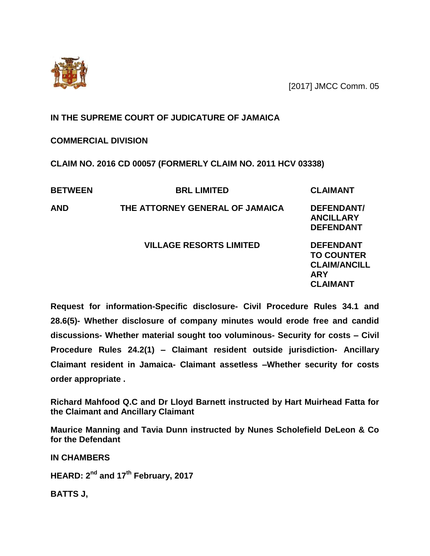[2017] JMCC Comm. 05



## **IN THE SUPREME COURT OF JUDICATURE OF JAMAICA**

## **COMMERCIAL DIVISION**

**CLAIM NO. 2016 CD 00057 (FORMERLY CLAIM NO. 2011 HCV 03338)**

| <b>BETWEEN</b> | <b>BRL LIMITED</b>              | <b>CLAIMANT</b>                                                                               |
|----------------|---------------------------------|-----------------------------------------------------------------------------------------------|
| <b>AND</b>     | THE ATTORNEY GENERAL OF JAMAICA | DEFENDANT/<br><b>ANCILLARY</b><br><b>DEFENDANT</b>                                            |
|                | <b>VILLAGE RESORTS LIMITED</b>  | <b>DEFENDANT</b><br><b>TO COUNTER</b><br><b>CLAIM/ANCILL</b><br><b>ARY</b><br><b>CLAIMANT</b> |

**Request for information-Specific disclosure- Civil Procedure Rules 34.1 and 28.6(5)- Whether disclosure of company minutes would erode free and candid discussions- Whether material sought too voluminous- Security for costs – Civil Procedure Rules 24.2(1) – Claimant resident outside jurisdiction- Ancillary Claimant resident in Jamaica- Claimant assetless –Whether security for costs order appropriate .** 

**Richard Mahfood Q.C and Dr Lloyd Barnett instructed by Hart Muirhead Fatta for the Claimant and Ancillary Claimant**

**Maurice Manning and Tavia Dunn instructed by Nunes Scholefield DeLeon & Co for the Defendant**

**IN CHAMBERS**

**HEARD: 2nd and 17th February, 2017**

**BATTS J,**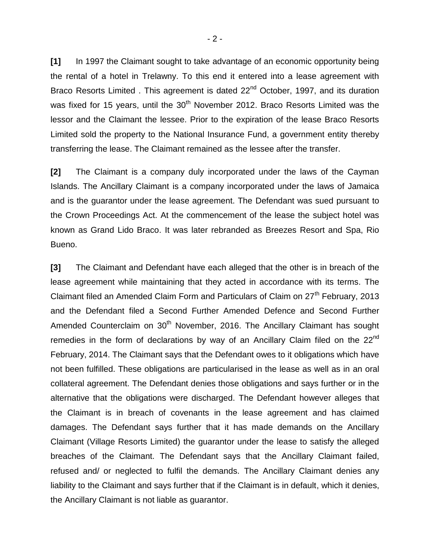**[1]** In 1997 the Claimant sought to take advantage of an economic opportunity being the rental of a hotel in Trelawny. To this end it entered into a lease agreement with Braco Resorts Limited . This agreement is dated 22<sup>nd</sup> October, 1997, and its duration was fixed for 15 years, until the 30<sup>th</sup> November 2012. Braco Resorts Limited was the lessor and the Claimant the lessee. Prior to the expiration of the lease Braco Resorts Limited sold the property to the National Insurance Fund, a government entity thereby transferring the lease. The Claimant remained as the lessee after the transfer.

**[2]** The Claimant is a company duly incorporated under the laws of the Cayman Islands. The Ancillary Claimant is a company incorporated under the laws of Jamaica and is the guarantor under the lease agreement. The Defendant was sued pursuant to the Crown Proceedings Act. At the commencement of the lease the subject hotel was known as Grand Lido Braco. It was later rebranded as Breezes Resort and Spa, Rio Bueno.

**[3]** The Claimant and Defendant have each alleged that the other is in breach of the lease agreement while maintaining that they acted in accordance with its terms. The Claimant filed an Amended Claim Form and Particulars of Claim on 27<sup>th</sup> February, 2013 and the Defendant filed a Second Further Amended Defence and Second Further Amended Counterclaim on 30<sup>th</sup> November, 2016. The Ancillary Claimant has sought remedies in the form of declarations by way of an Ancillary Claim filed on the 22<sup>nd</sup> February, 2014. The Claimant says that the Defendant owes to it obligations which have not been fulfilled. These obligations are particularised in the lease as well as in an oral collateral agreement. The Defendant denies those obligations and says further or in the alternative that the obligations were discharged. The Defendant however alleges that the Claimant is in breach of covenants in the lease agreement and has claimed damages. The Defendant says further that it has made demands on the Ancillary Claimant (Village Resorts Limited) the guarantor under the lease to satisfy the alleged breaches of the Claimant. The Defendant says that the Ancillary Claimant failed, refused and/ or neglected to fulfil the demands. The Ancillary Claimant denies any liability to the Claimant and says further that if the Claimant is in default, which it denies, the Ancillary Claimant is not liable as guarantor.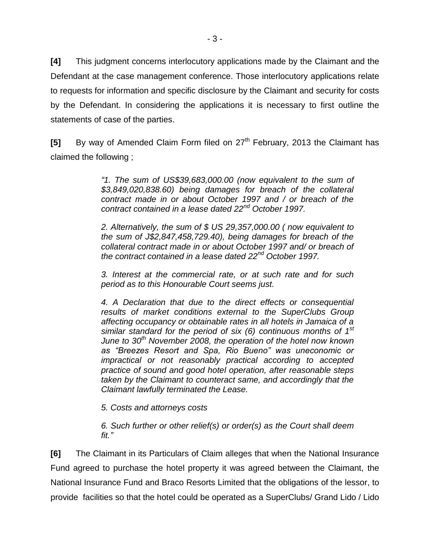**[4]** This judgment concerns interlocutory applications made by the Claimant and the Defendant at the case management conference. Those interlocutory applications relate to requests for information and specific disclosure by the Claimant and security for costs by the Defendant. In considering the applications it is necessary to first outline the statements of case of the parties.

**[5]** By way of Amended Claim Form filed on 27<sup>th</sup> February, 2013 the Claimant has claimed the following ;

> *"1. The sum of US\$39,683,000.00 (now equivalent to the sum of \$3,849,020,838.60) being damages for breach of the collateral contract made in or about October 1997 and / or breach of the contract contained in a lease dated 22nd October 1997.*

> *2. Alternatively, the sum of \$ US 29,357,000.00 ( now equivalent to the sum of J\$2,847,458,729.40), being damages for breach of the collateral contract made in or about October 1997 and/ or breach of the contract contained in a lease dated 22nd October 1997.*

> *3. Interest at the commercial rate, or at such rate and for such period as to this Honourable Court seems just.*

> *4. A Declaration that due to the direct effects or consequential results of market conditions external to the SuperClubs Group affecting occupancy or obtainable rates in all hotels in Jamaica of a similar standard for the period of six (6) continuous months of 1st June to 30th November 2008, the operation of the hotel now known as "Breezes Resort and Spa, Rio Bueno" was uneconomic or impractical or not reasonably practical according to accepted practice of sound and good hotel operation, after reasonable steps taken by the Claimant to counteract same, and accordingly that the Claimant lawfully terminated the Lease.*

*5. Costs and attorneys costs*

*6. Such further or other relief(s) or order(s) as the Court shall deem fit."*

**[6]** The Claimant in its Particulars of Claim alleges that when the National Insurance Fund agreed to purchase the hotel property it was agreed between the Claimant, the National Insurance Fund and Braco Resorts Limited that the obligations of the lessor, to provide facilities so that the hotel could be operated as a SuperClubs/ Grand Lido / Lido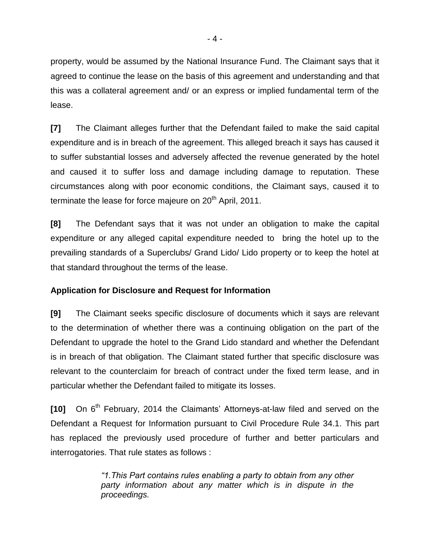property, would be assumed by the National Insurance Fund. The Claimant says that it agreed to continue the lease on the basis of this agreement and understanding and that this was a collateral agreement and/ or an express or implied fundamental term of the lease.

**[7]** The Claimant alleges further that the Defendant failed to make the said capital expenditure and is in breach of the agreement. This alleged breach it says has caused it to suffer substantial losses and adversely affected the revenue generated by the hotel and caused it to suffer loss and damage including damage to reputation. These circumstances along with poor economic conditions, the Claimant says, caused it to terminate the lease for force majeure on 20<sup>th</sup> April, 2011.

**[8]** The Defendant says that it was not under an obligation to make the capital expenditure or any alleged capital expenditure needed to bring the hotel up to the prevailing standards of a Superclubs/ Grand Lido/ Lido property or to keep the hotel at that standard throughout the terms of the lease.

## **Application for Disclosure and Request for Information**

**[9]** The Claimant seeks specific disclosure of documents which it says are relevant to the determination of whether there was a continuing obligation on the part of the Defendant to upgrade the hotel to the Grand Lido standard and whether the Defendant is in breach of that obligation. The Claimant stated further that specific disclosure was relevant to the counterclaim for breach of contract under the fixed term lease, and in particular whether the Defendant failed to mitigate its losses.

[10] On 6<sup>th</sup> February, 2014 the Claimants' Attorneys-at-law filed and served on the Defendant a Request for Information pursuant to Civil Procedure Rule 34.1. This part has replaced the previously used procedure of further and better particulars and interrogatories. That rule states as follows :

> *"1.This Part contains rules enabling a party to obtain from any other party information about any matter which is in dispute in the proceedings.*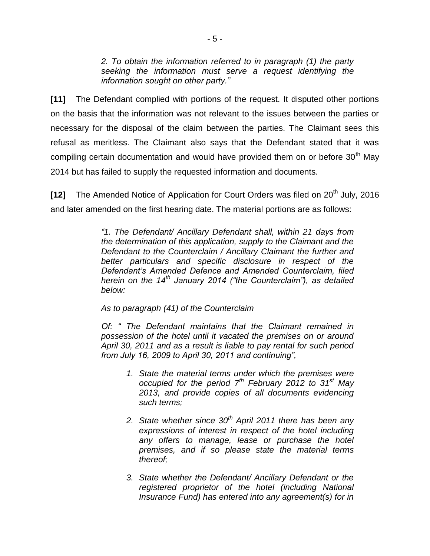*2. To obtain the information referred to in paragraph (1) the party seeking the information must serve a request identifying the information sought on other party."*

**[11]** The Defendant complied with portions of the request. It disputed other portions on the basis that the information was not relevant to the issues between the parties or necessary for the disposal of the claim between the parties. The Claimant sees this refusal as meritless. The Claimant also says that the Defendant stated that it was compiling certain documentation and would have provided them on or before  $30<sup>th</sup>$  May 2014 but has failed to supply the requested information and documents.

**[12]** The Amended Notice of Application for Court Orders was filed on 20<sup>th</sup> July. 2016 and later amended on the first hearing date. The material portions are as follows:

> *"1. The Defendant/ Ancillary Defendant shall, within 21 days from the determination of this application, supply to the Claimant and the Defendant to the Counterclaim / Ancillary Claimant the further and better particulars and specific disclosure in respect of the Defendant"s Amended Defence and Amended Counterclaim, filed herein on the 14th January 2014 ("the Counterclaim"), as detailed below:*

*As to paragraph (41) of the Counterclaim* 

*Of: " The Defendant maintains that the Claimant remained in possession of the hotel until it vacated the premises on or around April 30, 2011 and as a result is liable to pay rental for such period from July 16, 2009 to April 30, 2011 and continuing",*

- *1. State the material terms under which the premises were occupied for the period 7th February 2012 to 31st May 2013, and provide copies of all documents evidencing such terms;*
- *2. State whether since 30th April 2011 there has been any expressions of interest in respect of the hotel including any offers to manage, lease or purchase the hotel premises, and if so please state the material terms thereof;*
- *3. State whether the Defendant/ Ancillary Defendant or the registered proprietor of the hotel (including National Insurance Fund) has entered into any agreement(s) for in*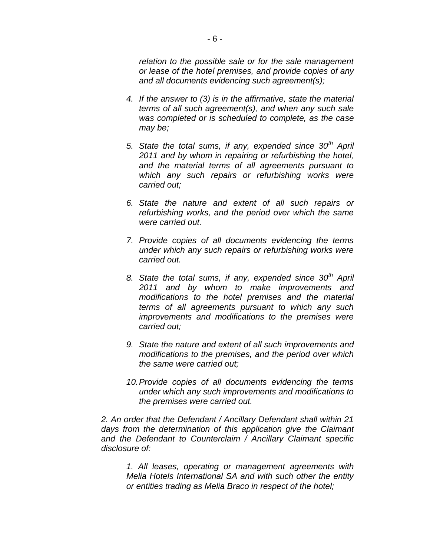*relation to the possible sale or for the sale management or lease of the hotel premises, and provide copies of any and all documents evidencing such agreement(s);*

- *4. If the answer to (3) is in the affirmative, state the material terms of all such agreement(s), and when any such sale was completed or is scheduled to complete, as the case may be;*
- *5. State the total sums, if any, expended since 30th April 2011 and by whom in repairing or refurbishing the hotel, and the material terms of all agreements pursuant to which any such repairs or refurbishing works were carried out;*
- *6. State the nature and extent of all such repairs or refurbishing works, and the period over which the same were carried out.*
- *7. Provide copies of all documents evidencing the terms under which any such repairs or refurbishing works were carried out.*
- *8. State the total sums, if any, expended since 30th April 2011 and by whom to make improvements and modifications to the hotel premises and the material terms of all agreements pursuant to which any such improvements and modifications to the premises were carried out;*
- *9. State the nature and extent of all such improvements and modifications to the premises, and the period over which the same were carried out;*
- *10.Provide copies of all documents evidencing the terms under which any such improvements and modifications to the premises were carried out.*

*2. An order that the Defendant / Ancillary Defendant shall within 21 days from the determination of this application give the Claimant and the Defendant to Counterclaim / Ancillary Claimant specific disclosure of:*

*1. All leases, operating or management agreements with Melia Hotels International SA and with such other the entity or entities trading as Melia Braco in respect of the hotel;*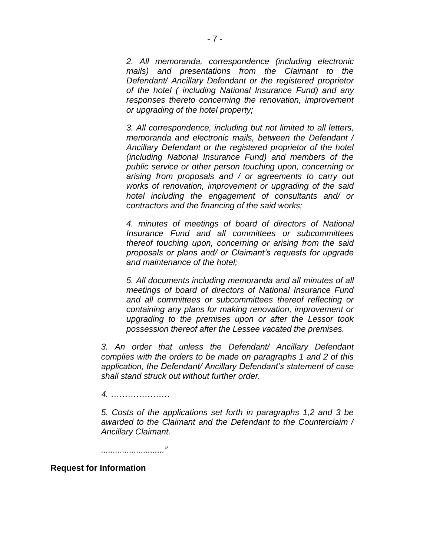*2. All memoranda, correspondence (including electronic mails) and presentations from the Claimant to the Defendant/ Ancillary Defendant or the registered proprietor of the hotel ( including National Insurance Fund) and any responses thereto concerning the renovation, improvement or upgrading of the hotel property;*

*3. All correspondence, including but not limited to all letters, memoranda and electronic mails, between the Defendant / Ancillary Defendant or the registered proprietor of the hotel (including National Insurance Fund) and members of the public service or other person touching upon, concerning or arising from proposals and / or agreements to carry out works of renovation, improvement or upgrading of the said hotel including the engagement of consultants and/ or contractors and the financing of the said works;*

*4. minutes of meetings of board of directors of National Insurance Fund and all committees or subcommittees thereof touching upon, concerning or arising from the said proposals or plans and/ or Claimant"s requests for upgrade and maintenance of the hotel;*

*5. All documents including memoranda and all minutes of all meetings of board of directors of National Insurance Fund and all committees or subcommittees thereof reflecting or containing any plans for making renovation, improvement or upgrading to the premises upon or after the Lessor took possession thereof after the Lessee vacated the premises.* 

*3. An order that unless the Defendant/ Ancillary Defendant complies with the orders to be made on paragraphs 1 and 2 of this application, the Defendant/ Ancillary Defendant"s statement of case shall stand struck out without further order.* 

*4. …………………*

*5. Costs of the applications set forth in paragraphs 1,2 and 3 be awarded to the Claimant and the Defendant to the Counterclaim / Ancillary Claimant.*

*..........................."*

#### **Request for Information**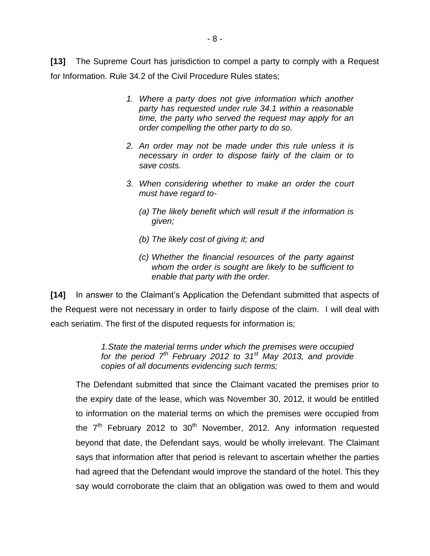**[13]** The Supreme Court has jurisdiction to compel a party to comply with a Request for Information. Rule 34.2 of the Civil Procedure Rules states;

- *1. Where a party does not give information which another party has requested under rule 34.1 within a reasonable time, the party who served the request may apply for an order compelling the other party to do so.*
- *2. An order may not be made under this rule unless it is necessary in order to dispose fairly of the claim or to save costs.*
- *3. When considering whether to make an order the court must have regard to-*
	- *(a) The likely benefit which will result if the information is given;*
	- *(b) The likely cost of giving it; and*
	- *(c) Whether the financial resources of the party against whom the order is sought are likely to be sufficient to enable that party with the order.*

**[14]** In answer to the Claimant"s Application the Defendant submitted that aspects of the Request were not necessary in order to fairly dispose of the claim. I will deal with each seriatim. The first of the disputed requests for information is;

> *1.State the material terms under which the premises were occupied for the period 7th February 2012 to 31st May 2013, and provide copies of all documents evidencing such terms;*

The Defendant submitted that since the Claimant vacated the premises prior to the expiry date of the lease, which was November 30, 2012, it would be entitled to information on the material terms on which the premises were occupied from the  $7<sup>th</sup>$  February 2012 to 30<sup>th</sup> November, 2012. Any information requested beyond that date, the Defendant says, would be wholly irrelevant. The Claimant says that information after that period is relevant to ascertain whether the parties had agreed that the Defendant would improve the standard of the hotel. This they say would corroborate the claim that an obligation was owed to them and would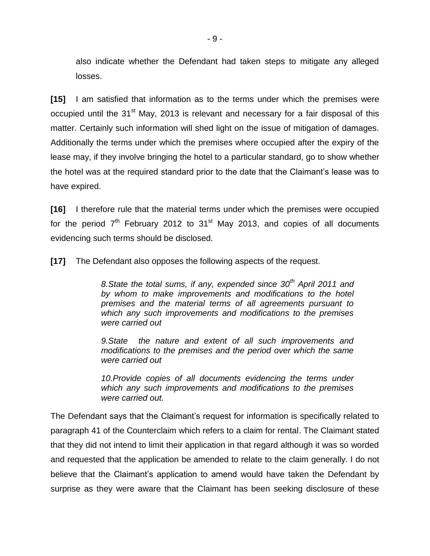also indicate whether the Defendant had taken steps to mitigate any alleged losses.

**[15]** I am satisfied that information as to the terms under which the premises were occupied until the 31<sup>st</sup> May, 2013 is relevant and necessary for a fair disposal of this matter. Certainly such information will shed light on the issue of mitigation of damages. Additionally the terms under which the premises where occupied after the expiry of the lease may, if they involve bringing the hotel to a particular standard, go to show whether the hotel was at the required standard prior to the date that the Claimant"s lease was to have expired.

**[16]** I therefore rule that the material terms under which the premises were occupied for the period  $7<sup>th</sup>$  February 2012 to 31<sup>st</sup> May 2013, and copies of all documents evidencing such terms should be disclosed.

**[17]** The Defendant also opposes the following aspects of the request.

*8.State the total sums, if any, expended since 30th April 2011 and by whom to make improvements and modifications to the hotel premises and the material terms of all agreements pursuant to which any such improvements and modifications to the premises were carried out* 

*9.State the nature and extent of all such improvements and modifications to the premises and the period over which the same were carried out*

*10.Provide copies of all documents evidencing the terms under which any such improvements and modifications to the premises were carried out.* 

The Defendant says that the Claimant's request for information is specifically related to paragraph 41 of the Counterclaim which refers to a claim for rental. The Claimant stated that they did not intend to limit their application in that regard although it was so worded and requested that the application be amended to relate to the claim generally. I do not believe that the Claimant's application to amend would have taken the Defendant by surprise as they were aware that the Claimant has been seeking disclosure of these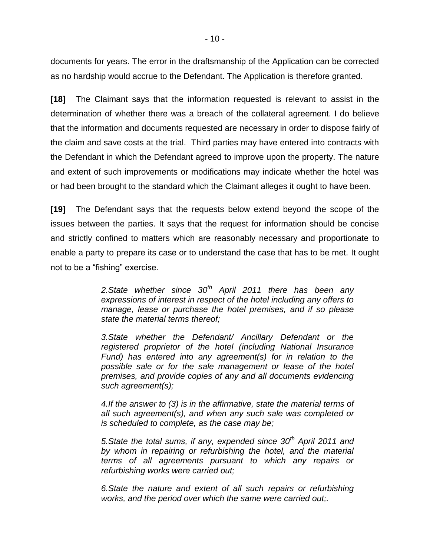documents for years. The error in the draftsmanship of the Application can be corrected as no hardship would accrue to the Defendant. The Application is therefore granted.

**[18]** The Claimant says that the information requested is relevant to assist in the determination of whether there was a breach of the collateral agreement. I do believe that the information and documents requested are necessary in order to dispose fairly of the claim and save costs at the trial. Third parties may have entered into contracts with the Defendant in which the Defendant agreed to improve upon the property. The nature and extent of such improvements or modifications may indicate whether the hotel was or had been brought to the standard which the Claimant alleges it ought to have been.

**[19]** The Defendant says that the requests below extend beyond the scope of the issues between the parties. It says that the request for information should be concise and strictly confined to matters which are reasonably necessary and proportionate to enable a party to prepare its case or to understand the case that has to be met. It ought not to be a "fishing" exercise.

> *2.State whether since 30th April 2011 there has been any expressions of interest in respect of the hotel including any offers to manage, lease or purchase the hotel premises, and if so please state the material terms thereof;*

> *3.State whether the Defendant/ Ancillary Defendant or the registered proprietor of the hotel (including National Insurance Fund) has entered into any agreement(s) for in relation to the possible sale or for the sale management or lease of the hotel premises, and provide copies of any and all documents evidencing such agreement(s);*

> *4.If the answer to (3) is in the affirmative, state the material terms of all such agreement(s), and when any such sale was completed or is scheduled to complete, as the case may be;*

> *5.State the total sums, if any, expended since 30th April 2011 and by whom in repairing or refurbishing the hotel, and the material terms of all agreements pursuant to which any repairs or refurbishing works were carried out;*

> *6.State the nature and extent of all such repairs or refurbishing works, and the period over which the same were carried out;.*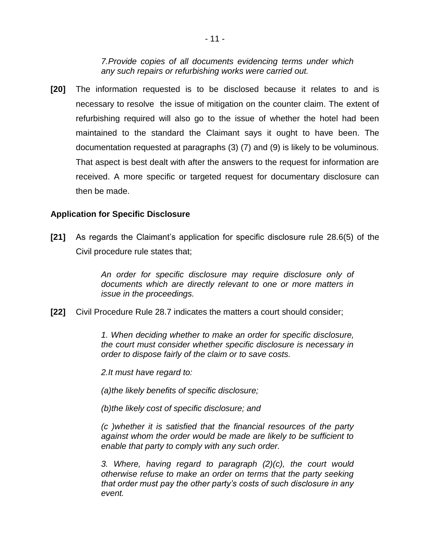*7.Provide copies of all documents evidencing terms under which any such repairs or refurbishing works were carried out.* 

**[20]** The information requested is to be disclosed because it relates to and is necessary to resolve the issue of mitigation on the counter claim. The extent of refurbishing required will also go to the issue of whether the hotel had been maintained to the standard the Claimant says it ought to have been. The documentation requested at paragraphs (3) (7) and (9) is likely to be voluminous. That aspect is best dealt with after the answers to the request for information are received. A more specific or targeted request for documentary disclosure can then be made.

#### **Application for Specific Disclosure**

**[21]** As regards the Claimant"s application for specific disclosure rule 28.6(5) of the Civil procedure rule states that;

> *An order for specific disclosure may require disclosure only of documents which are directly relevant to one or more matters in issue in the proceedings.*

**[22]** Civil Procedure Rule 28.7 indicates the matters a court should consider;

*1. When deciding whether to make an order for specific disclosure, the court must consider whether specific disclosure is necessary in order to dispose fairly of the claim or to save costs.*

*2.It must have regard to:* 

*(a)the likely benefits of specific disclosure;* 

*(b)the likely cost of specific disclosure; and* 

*(c )whether it is satisfied that the financial resources of the party against whom the order would be made are likely to be sufficient to enable that party to comply with any such order.* 

*3. Where, having regard to paragraph (2)(c), the court would otherwise refuse to make an order on terms that the party seeking that order must pay the other party"s costs of such disclosure in any event.*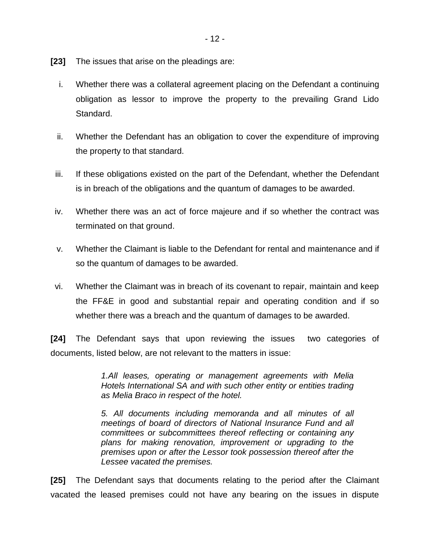- **[23]** The issues that arise on the pleadings are:
	- i. Whether there was a collateral agreement placing on the Defendant a continuing obligation as lessor to improve the property to the prevailing Grand Lido Standard.
	- ii. Whether the Defendant has an obligation to cover the expenditure of improving the property to that standard.
- iii. If these obligations existed on the part of the Defendant, whether the Defendant is in breach of the obligations and the quantum of damages to be awarded.
- iv. Whether there was an act of force majeure and if so whether the contract was terminated on that ground.
- v. Whether the Claimant is liable to the Defendant for rental and maintenance and if so the quantum of damages to be awarded.
- vi. Whether the Claimant was in breach of its covenant to repair, maintain and keep the FF&E in good and substantial repair and operating condition and if so whether there was a breach and the quantum of damages to be awarded.

**[24]** The Defendant says that upon reviewing the issues two categories of documents, listed below, are not relevant to the matters in issue:

> *1.All leases, operating or management agreements with Melia Hotels International SA and with such other entity or entities trading as Melia Braco in respect of the hotel.*

> *5. All documents including memoranda and all minutes of all meetings of board of directors of National Insurance Fund and all committees or subcommittees thereof reflecting or containing any plans for making renovation, improvement or upgrading to the premises upon or after the Lessor took possession thereof after the Lessee vacated the premises.*

**[25]** The Defendant says that documents relating to the period after the Claimant vacated the leased premises could not have any bearing on the issues in dispute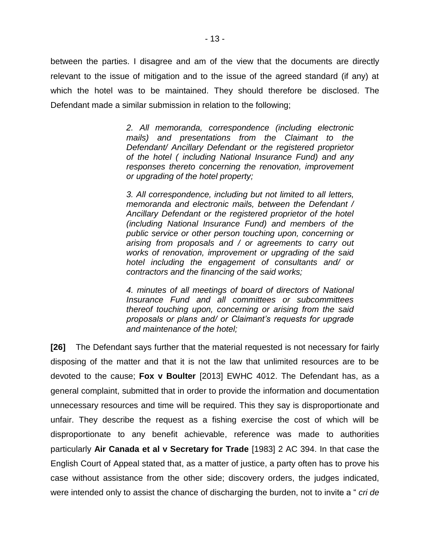between the parties. I disagree and am of the view that the documents are directly relevant to the issue of mitigation and to the issue of the agreed standard (if any) at which the hotel was to be maintained. They should therefore be disclosed. The Defendant made a similar submission in relation to the following;

> *2. All memoranda, correspondence (including electronic mails) and presentations from the Claimant to the Defendant/ Ancillary Defendant or the registered proprietor of the hotel ( including National Insurance Fund) and any responses thereto concerning the renovation, improvement or upgrading of the hotel property;*

> *3. All correspondence, including but not limited to all letters, memoranda and electronic mails, between the Defendant / Ancillary Defendant or the registered proprietor of the hotel (including National Insurance Fund) and members of the public service or other person touching upon, concerning or arising from proposals and / or agreements to carry out works of renovation, improvement or upgrading of the said hotel including the engagement of consultants and/ or contractors and the financing of the said works;*

> *4. minutes of all meetings of board of directors of National Insurance Fund and all committees or subcommittees thereof touching upon, concerning or arising from the said proposals or plans and/ or Claimant"s requests for upgrade and maintenance of the hotel;*

**[26]** The Defendant says further that the material requested is not necessary for fairly disposing of the matter and that it is not the law that unlimited resources are to be devoted to the cause; **Fox v Boulter** [2013] EWHC 4012. The Defendant has, as a general complaint, submitted that in order to provide the information and documentation unnecessary resources and time will be required. This they say is disproportionate and unfair. They describe the request as a fishing exercise the cost of which will be disproportionate to any benefit achievable, reference was made to authorities particularly **Air Canada et al v Secretary for Trade** [1983] 2 AC 394. In that case the English Court of Appeal stated that, as a matter of justice, a party often has to prove his case without assistance from the other side; discovery orders, the judges indicated, were intended only to assist the chance of discharging the burden, not to invite a " *cri de*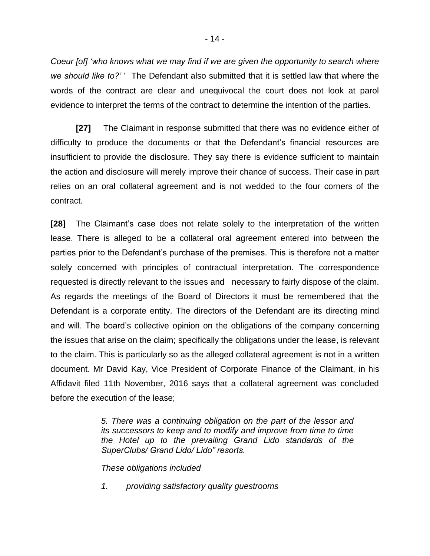*Coeur [of] "who knows what we may find if we are given the opportunity to search where we should like to?"* " The Defendant also submitted that it is settled law that where the words of the contract are clear and unequivocal the court does not look at parol evidence to interpret the terms of the contract to determine the intention of the parties.

**[27]** The Claimant in response submitted that there was no evidence either of difficulty to produce the documents or that the Defendant"s financial resources are insufficient to provide the disclosure. They say there is evidence sufficient to maintain the action and disclosure will merely improve their chance of success. Their case in part relies on an oral collateral agreement and is not wedded to the four corners of the contract.

**[28]** The Claimant"s case does not relate solely to the interpretation of the written lease. There is alleged to be a collateral oral agreement entered into between the parties prior to the Defendant"s purchase of the premises. This is therefore not a matter solely concerned with principles of contractual interpretation. The correspondence requested is directly relevant to the issues and necessary to fairly dispose of the claim. As regards the meetings of the Board of Directors it must be remembered that the Defendant is a corporate entity. The directors of the Defendant are its directing mind and will. The board"s collective opinion on the obligations of the company concerning the issues that arise on the claim; specifically the obligations under the lease, is relevant to the claim. This is particularly so as the alleged collateral agreement is not in a written document. Mr David Kay, Vice President of Corporate Finance of the Claimant, in his Affidavit filed 11th November, 2016 says that a collateral agreement was concluded before the execution of the lease;

> *5. There was a continuing obligation on the part of the lessor and its successors to keep and to modify and improve from time to time the Hotel up to the prevailing Grand Lido standards of the SuperClubs/ Grand Lido/ Lido" resorts.*

*These obligations included*

*1. providing satisfactory quality guestrooms*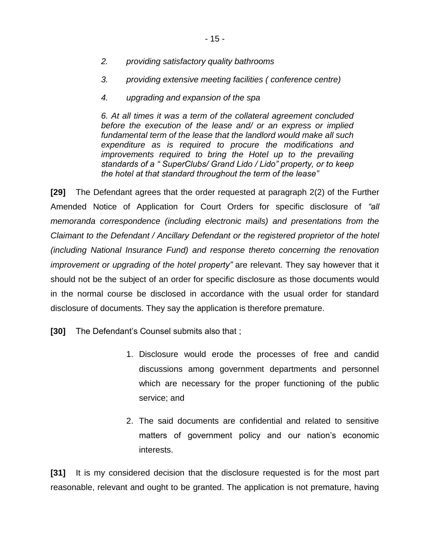- *2. providing satisfactory quality bathrooms*
- *3. providing extensive meeting facilities ( conference centre)*
- *4. upgrading and expansion of the spa*

*6. At all times it was a term of the collateral agreement concluded before the execution of the lease and/ or an express or implied fundamental term of the lease that the landlord would make all such expenditure as is required to procure the modifications and improvements required to bring the Hotel up to the prevailing standards of a " SuperClubs/ Grand Lido / Lido" property, or to keep the hotel at that standard throughout the term of the lease"*

**[29]** The Defendant agrees that the order requested at paragraph 2(2) of the Further Amended Notice of Application for Court Orders for specific disclosure of *"all memoranda correspondence (including electronic mails) and presentations from the Claimant to the Defendant / Ancillary Defendant or the registered proprietor of the hotel (including National Insurance Fund) and response thereto concerning the renovation improvement or upgrading of the hotel property"* are relevant. They say however that it should not be the subject of an order for specific disclosure as those documents would in the normal course be disclosed in accordance with the usual order for standard disclosure of documents. They say the application is therefore premature.

**[30]** The Defendant's Counsel submits also that ;

- 1. Disclosure would erode the processes of free and candid discussions among government departments and personnel which are necessary for the proper functioning of the public service; and
- 2. The said documents are confidential and related to sensitive matters of government policy and our nation's economic interests.

**[31]** It is my considered decision that the disclosure requested is for the most part reasonable, relevant and ought to be granted. The application is not premature, having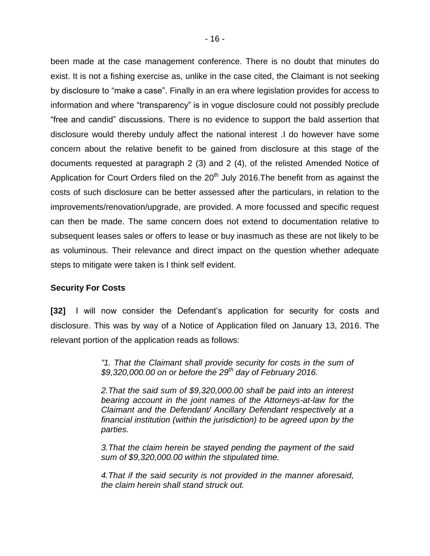been made at the case management conference. There is no doubt that minutes do exist. It is not a fishing exercise as, unlike in the case cited, the Claimant is not seeking by disclosure to "make a case". Finally in an era where legislation provides for access to information and where "transparency" is in vogue disclosure could not possibly preclude "free and candid" discussions. There is no evidence to support the bald assertion that disclosure would thereby unduly affect the national interest .I do however have some concern about the relative benefit to be gained from disclosure at this stage of the documents requested at paragraph 2 (3) and 2 (4), of the relisted Amended Notice of Application for Court Orders filed on the  $20<sup>th</sup>$  July 2016. The benefit from as against the costs of such disclosure can be better assessed after the particulars, in relation to the improvements/renovation/upgrade, are provided. A more focussed and specific request can then be made. The same concern does not extend to documentation relative to subsequent leases sales or offers to lease or buy inasmuch as these are not likely to be as voluminous. Their relevance and direct impact on the question whether adequate steps to mitigate were taken is I think self evident.

#### **Security For Costs**

**[32]** I will now consider the Defendant"s application for security for costs and disclosure. This was by way of a Notice of Application filed on January 13, 2016. The relevant portion of the application reads as follows:

> *"1. That the Claimant shall provide security for costs in the sum of \$9,320,000.00 on or before the 29th day of February 2016.*

> *2.That the said sum of \$9,320,000.00 shall be paid into an interest bearing account in the joint names of the Attorneys-at-law for the Claimant and the Defendant/ Ancillary Defendant respectively at a financial institution (within the jurisdiction) to be agreed upon by the parties.*

> *3.That the claim herein be stayed pending the payment of the said sum of \$9,320,000.00 within the stipulated time.*

> *4.That if the said security is not provided in the manner aforesaid, the claim herein shall stand struck out.*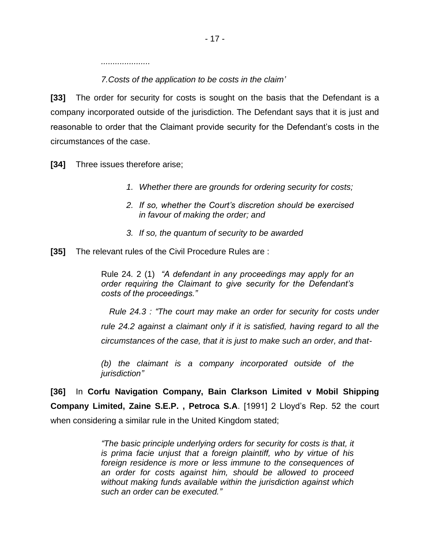*.....................* 

*7.Costs of the application to be costs in the claim"*

**[33]** The order for security for costs is sought on the basis that the Defendant is a company incorporated outside of the jurisdiction. The Defendant says that it is just and reasonable to order that the Claimant provide security for the Defendant"s costs in the circumstances of the case.

**[34]** Three issues therefore arise;

- *1. Whether there are grounds for ordering security for costs;*
- *2. If so, whether the Court"s discretion should be exercised in favour of making the order; and*
- *3. If so, the quantum of security to be awarded*
- **[35]** The relevant rules of the Civil Procedure Rules are :

Rule 24*.* 2 (1) *"A defendant in any proceedings may apply for an order requiring the Claimant to give security for the Defendant"s costs of the proceedings."*

 *Rule 24.3 : "The court may make an order for security for costs under rule 24.2 against a claimant only if it is satisfied, having regard to all the circumstances of the case, that it is just to make such an order, and that-*

*(b) the claimant is a company incorporated outside of the jurisdiction"*

**[36]** In **Corfu Navigation Company, Bain Clarkson Limited v Mobil Shipping Company Limited, Zaine S.E.P. , Petroca S.A**. [1991] 2 Lloyd"s Rep. 52 the court when considering a similar rule in the United Kingdom stated;

> *"The basic principle underlying orders for security for costs is that, it is prima facie unjust that a foreign plaintiff, who by virtue of his foreign residence is more or less immune to the consequences of an order for costs against him, should be allowed to proceed without making funds available within the jurisdiction against which such an order can be executed."*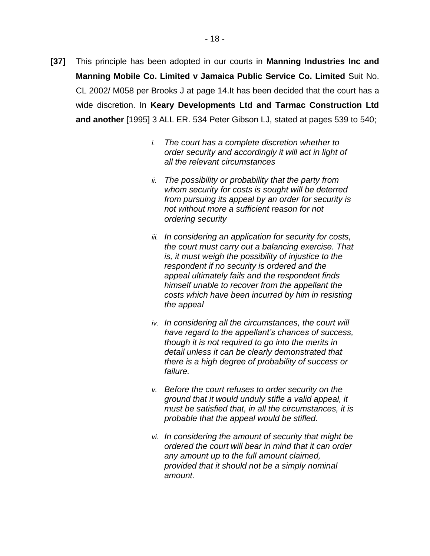- **[37]** This principle has been adopted in our courts in **Manning Industries Inc and Manning Mobile Co. Limited v Jamaica Public Service Co. Limited** Suit No. CL 2002/ M058 per Brooks J at page 14.It has been decided that the court has a wide discretion. In **Keary Developments Ltd and Tarmac Construction Ltd and another** [1995] 3 ALL ER. 534 Peter Gibson LJ, stated at pages 539 to 540;
	- *i. The court has a complete discretion whether to order security and accordingly it will act in light of all the relevant circumstances*
	- *ii. The possibility or probability that the party from whom security for costs is sought will be deterred from pursuing its appeal by an order for security is not without more a sufficient reason for not ordering security*
	- *iii. In considering an application for security for costs, the court must carry out a balancing exercise. That is, it must weigh the possibility of injustice to the respondent if no security is ordered and the appeal ultimately fails and the respondent finds himself unable to recover from the appellant the costs which have been incurred by him in resisting the appeal*
	- *iv. In considering all the circumstances, the court will have regard to the appellant"s chances of success, though it is not required to go into the merits in detail unless it can be clearly demonstrated that there is a high degree of probability of success or failure.*
	- *v. Before the court refuses to order security on the ground that it would unduly stifle a valid appeal, it must be satisfied that, in all the circumstances, it is probable that the appeal would be stifled.*
	- *vi. In considering the amount of security that might be ordered the court will bear in mind that it can order any amount up to the full amount claimed, provided that it should not be a simply nominal amount.*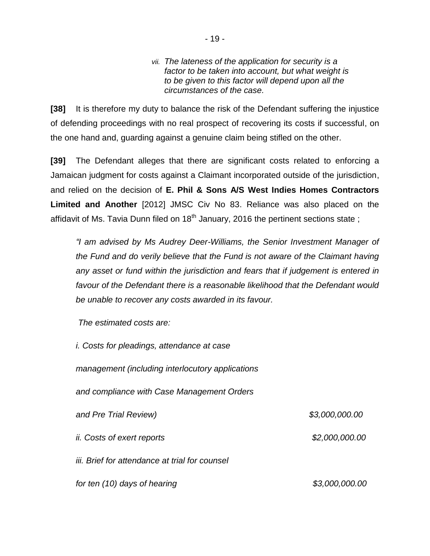#### *vii. The lateness of the application for security is a factor to be taken into account, but what weight is to be given to this factor will depend upon all the circumstances of the case.*

**[38]** It is therefore my duty to balance the risk of the Defendant suffering the injustice of defending proceedings with no real prospect of recovering its costs if successful, on the one hand and, guarding against a genuine claim being stifled on the other.

**[39]** The Defendant alleges that there are significant costs related to enforcing a Jamaican judgment for costs against a Claimant incorporated outside of the jurisdiction, and relied on the decision of **E. Phil & Sons A/S West Indies Homes Contractors Limited and Another** [2012] JMSC Civ No 83. Reliance was also placed on the affidavit of Ms. Tavia Dunn filed on  $18<sup>th</sup>$  January, 2016 the pertinent sections state;

*"I am advised by Ms Audrey Deer-Williams, the Senior Investment Manager of the Fund and do verily believe that the Fund is not aware of the Claimant having any asset or fund within the jurisdiction and fears that if judgement is entered in favour of the Defendant there is a reasonable likelihood that the Defendant would be unable to recover any costs awarded in its favour.* 

*The estimated costs are:*

| <i>i.</i> Costs for pleadings, attendance at case |                |
|---------------------------------------------------|----------------|
| management (including interlocutory applications  |                |
| and compliance with Case Management Orders        |                |
| and Pre Trial Review)                             | \$3,000,000.00 |
| <i>ii.</i> Costs of exert reports                 | \$2,000,000.00 |
| iii. Brief for attendance at trial for counsel    |                |
| for ten (10) days of hearing                      | \$3,000,000.00 |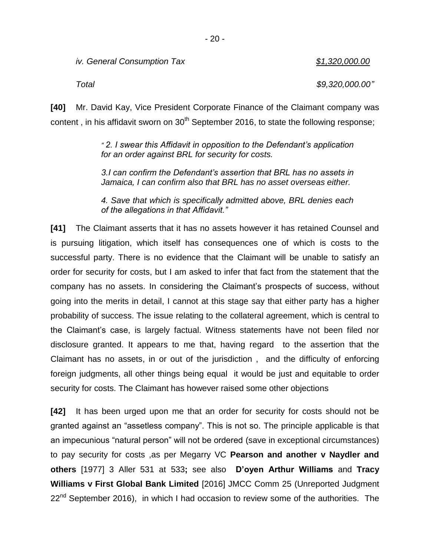*iv. General Consumption Tax \$1,320,000.00*

*Total \$9,320,000.00"*

**[40]** Mr. David Kay, Vice President Corporate Finance of the Claimant company was content, in his affidavit sworn on  $30<sup>th</sup>$  September 2016, to state the following response;

> *" 2. I swear this Affidavit in opposition to the Defendant"s application for an order against BRL for security for costs.*

> *3.I can confirm the Defendant"s assertion that BRL has no assets in Jamaica, I can confirm also that BRL has no asset overseas either.*

> *4. Save that which is specifically admitted above, BRL denies each of the allegations in that Affidavit."*

**[41]** The Claimant asserts that it has no assets however it has retained Counsel and is pursuing litigation, which itself has consequences one of which is costs to the successful party. There is no evidence that the Claimant will be unable to satisfy an order for security for costs, but I am asked to infer that fact from the statement that the company has no assets. In considering the Claimant"s prospects of success, without going into the merits in detail, I cannot at this stage say that either party has a higher probability of success. The issue relating to the collateral agreement, which is central to the Claimant"s case, is largely factual. Witness statements have not been filed nor disclosure granted. It appears to me that, having regard to the assertion that the Claimant has no assets, in or out of the jurisdiction , and the difficulty of enforcing foreign judgments, all other things being equal it would be just and equitable to order security for costs. The Claimant has however raised some other objections

**[42]** It has been urged upon me that an order for security for costs should not be granted against an "assetless company". This is not so. The principle applicable is that an impecunious "natural person" will not be ordered (save in exceptional circumstances) to pay security for costs ,as per Megarry VC **Pearson and another v Naydler and others** [1977] 3 Aller 531 at 533**;** see also **D'oyen Arthur Williams** and **Tracy Williams v First Global Bank Limited** [2016] JMCC Comm 25 (Unreported Judgment  $22<sup>nd</sup>$  September 2016), in which I had occasion to review some of the authorities. The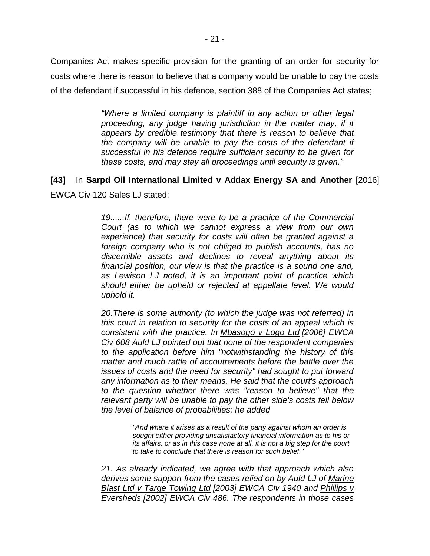Companies Act makes specific provision for the granting of an order for security for costs where there is reason to believe that a company would be unable to pay the costs of the defendant if successful in his defence, section 388 of the Companies Act states;

> *"Where a limited company is plaintiff in any action or other legal*  proceeding, any judge having jurisdiction in the matter may, if it *appears by credible testimony that there is reason to believe that the company will be unable to pay the costs of the defendant if successful in his defence require sufficient security to be given for these costs, and may stay all proceedings until security is given."*

## **[43]** In **Sarpd Oil International Limited v Addax Energy SA and Another** [2016] EWCA Civ 120 Sales LJ stated;

*19......If, therefore, there were to be a practice of the Commercial Court (as to which we cannot express a view from our own experience) that security for costs will often be granted against a foreign company who is not obliged to publish accounts, has no discernible assets and declines to reveal anything about its financial position, our view is that the practice is a sound one and, as Lewison LJ noted, it is an important point of practice which should either be upheld or rejected at appellate level. We would uphold it.*

*20.There is some authority (to which the judge was not referred) in this court in relation to security for the costs of an appeal which is consistent with the practice. In Mbasogo v Logo Ltd [\[2006\] EWCA](http://www.bailii.org/ew/cases/EWCA/Civ/2006/608.html)  [Civ 608](http://www.bailii.org/ew/cases/EWCA/Civ/2006/608.html) Auld LJ pointed out that none of the respondent companies to the application before him "notwithstanding the history of this matter and much rattle of accoutrements before the battle over the issues of costs and the need for security" had sought to put forward any information as to their means. He said that the court's approach to the question whether there was "reason to believe" that the relevant party will be unable to pay the other side's costs fell below the level of balance of probabilities; he added*

> *"And where it arises as a result of the party against whom an order is sought either providing unsatisfactory financial information as to his or its affairs, or as in this case none at all, it is not a big step for the court to take to conclude that there is reason for such belief."*

*21. As already indicated, we agree with that approach which also derives some support from the cases relied on by Auld LJ of Marine Blast Ltd v Targe Towing Ltd [2003] EWCA Civ 1940 and Phillips v Eversheds [\[2002\] EWCA Civ 486.](http://www.bailii.org/ew/cases/EWCA/Civ/2002/486.html) The respondents in those cases*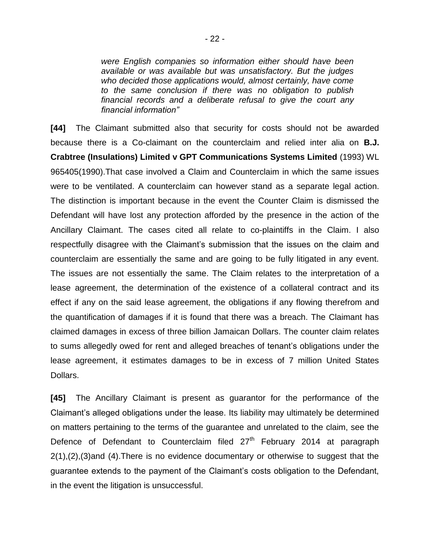*were English companies so information either should have been available or was available but was unsatisfactory. But the judges who decided those applications would, almost certainly, have come to the same conclusion if there was no obligation to publish financial records and a deliberate refusal to give the court any financial information"*

**[44]** The Claimant submitted also that security for costs should not be awarded because there is a Co-claimant on the counterclaim and relied inter alia on **B.J. Crabtree (Insulations) Limited v GPT Communications Systems Limited** (1993) WL 965405(1990).That case involved a Claim and Counterclaim in which the same issues were to be ventilated. A counterclaim can however stand as a separate legal action. The distinction is important because in the event the Counter Claim is dismissed the Defendant will have lost any protection afforded by the presence in the action of the Ancillary Claimant. The cases cited all relate to co-plaintiffs in the Claim. I also respectfully disagree with the Claimant"s submission that the issues on the claim and counterclaim are essentially the same and are going to be fully litigated in any event. The issues are not essentially the same. The Claim relates to the interpretation of a lease agreement, the determination of the existence of a collateral contract and its effect if any on the said lease agreement, the obligations if any flowing therefrom and the quantification of damages if it is found that there was a breach. The Claimant has claimed damages in excess of three billion Jamaican Dollars. The counter claim relates to sums allegedly owed for rent and alleged breaches of tenant"s obligations under the lease agreement, it estimates damages to be in excess of 7 million United States Dollars.

**[45]** The Ancillary Claimant is present as guarantor for the performance of the Claimant"s alleged obligations under the lease. Its liability may ultimately be determined on matters pertaining to the terms of the guarantee and unrelated to the claim, see the Defence of Defendant to Counterclaim filed 27<sup>th</sup> February 2014 at paragraph 2(1),(2),(3)and (4).There is no evidence documentary or otherwise to suggest that the guarantee extends to the payment of the Claimant"s costs obligation to the Defendant, in the event the litigation is unsuccessful.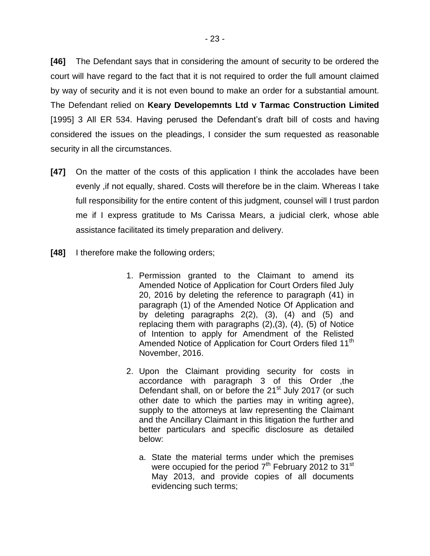**[46]** The Defendant says that in considering the amount of security to be ordered the court will have regard to the fact that it is not required to order the full amount claimed by way of security and it is not even bound to make an order for a substantial amount. The Defendant relied on **Keary Developemnts Ltd v Tarmac Construction Limited** [1995] 3 All ER 534. Having perused the Defendant"s draft bill of costs and having considered the issues on the pleadings, I consider the sum requested as reasonable security in all the circumstances.

- **[47]** On the matter of the costs of this application I think the accolades have been evenly ,if not equally, shared. Costs will therefore be in the claim. Whereas I take full responsibility for the entire content of this judgment, counsel will I trust pardon me if I express gratitude to Ms Carissa Mears, a judicial clerk, whose able assistance facilitated its timely preparation and delivery.
- **[48]** I therefore make the following orders;
	- 1. Permission granted to the Claimant to amend its Amended Notice of Application for Court Orders filed July 20, 2016 by deleting the reference to paragraph (41) in paragraph (1) of the Amended Notice Of Application and by deleting paragraphs 2(2), (3), (4) and (5) and replacing them with paragraphs (2),(3), (4), (5) of Notice of Intention to apply for Amendment of the Relisted Amended Notice of Application for Court Orders filed 11<sup>th</sup> November, 2016.
	- 2. Upon the Claimant providing security for costs in accordance with paragraph 3 of this Order ,the Defendant shall, on or before the 21<sup>st</sup> July 2017 (or such other date to which the parties may in writing agree), supply to the attorneys at law representing the Claimant and the Ancillary Claimant in this litigation the further and better particulars and specific disclosure as detailed below:
		- a. State the material terms under which the premises were occupied for the period  $7<sup>th</sup>$  February 2012 to 31<sup>st</sup> May 2013, and provide copies of all documents evidencing such terms;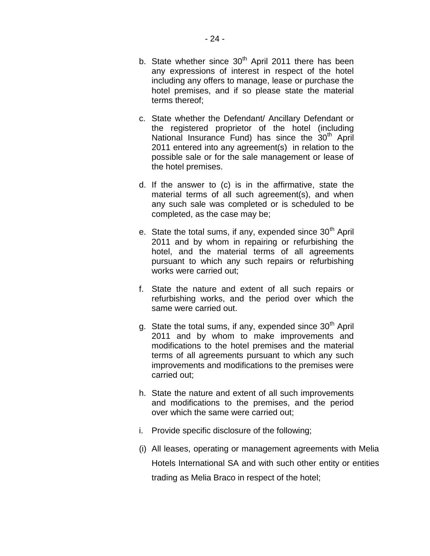- c. State whether the Defendant/ Ancillary Defendant or the registered proprietor of the hotel (including National Insurance Fund) has since the 30<sup>th</sup> April 2011 entered into any agreement(s) in relation to the possible sale or for the sale management or lease of the hotel premises.
- d. If the answer to (c) is in the affirmative, state the material terms of all such agreement(s), and when any such sale was completed or is scheduled to be completed, as the case may be;
- e. State the total sums, if any, expended since  $30<sup>th</sup>$  April 2011 and by whom in repairing or refurbishing the hotel, and the material terms of all agreements pursuant to which any such repairs or refurbishing works were carried out;
- f. State the nature and extent of all such repairs or refurbishing works, and the period over which the same were carried out.
- g. State the total sums, if any, expended since  $30<sup>th</sup>$  April 2011 and by whom to make improvements and modifications to the hotel premises and the material terms of all agreements pursuant to which any such improvements and modifications to the premises were carried out;
- h. State the nature and extent of all such improvements and modifications to the premises, and the period over which the same were carried out;
- i. Provide specific disclosure of the following;
- (i) All leases, operating or management agreements with Melia Hotels International SA and with such other entity or entities trading as Melia Braco in respect of the hotel;